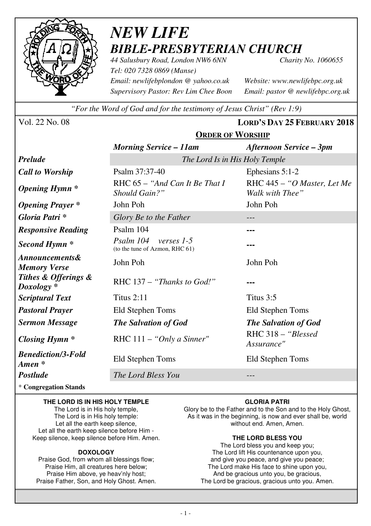

# *NEW LIFE BIBLE-PRESBYTERIAN CHURCH*

*44 Salusbury Road, London NW6 6NN Charity No. 1060655 Tel: 020 7328 0869 (Manse) Email: newlifebplondon @ yahoo.co.uk Website: www.newlifebpc.org.uk Supervisory Pastor: Rev Lim Chee Boon Email: pastor @ newlifebpc.org.uk* 

*"For the Word of God and for the testimony of Jesus Christ" (Rev 1:9)*

Vol. 22 No. 08 **LORD'S DAY 25 FEBRUARY 2018**

|                                       | <b>ORDER OF WORSHIP</b>                                   |                                                |  |  |
|---------------------------------------|-----------------------------------------------------------|------------------------------------------------|--|--|
|                                       | <b>Morning Service – 11am</b>                             | <b>Afternoon Service – 3pm</b>                 |  |  |
| <b>Prelude</b>                        | The Lord Is in His Holy Temple                            |                                                |  |  |
| <b>Call to Worship</b>                | Psalm 37:37-40                                            | Ephesians 5:1-2                                |  |  |
| <b>Opening Hymn</b> *                 | RHC 65 - "And Can It Be That I<br>Should Gain?"           | RHC 445 - "O Master, Let Me<br>Walk with Thee" |  |  |
| <b>Opening Prayer</b> *               | John Poh                                                  | John Poh                                       |  |  |
| Gloria Patri *                        | Glory Be to the Father                                    | $---$                                          |  |  |
| <b>Responsive Reading</b>             | Psalm 104                                                 |                                                |  |  |
| Second Hymn <sup>*</sup>              | Psalm 104<br>verses 1-5<br>(to the tune of Azmon, RHC 61) |                                                |  |  |
| Announcements&<br><b>Memory Verse</b> | John Poh                                                  | John Poh                                       |  |  |
| Tithes & Offerings &<br>$Doxology *$  | RHC 137 – "Thanks to God!"                                |                                                |  |  |
| <b>Scriptural Text</b>                | Titus $2:11$                                              | Titus 3:5                                      |  |  |
| <b>Pastoral Prayer</b>                | Eld Stephen Toms                                          | Eld Stephen Toms                               |  |  |
| <b>Sermon Message</b>                 | <b>The Salvation of God</b>                               | <b>The Salvation of God</b>                    |  |  |
| Closing Hymn $*$                      | RHC $111 - "Only a Sinner"$                               | RHC 318 - "Blessed<br>Assurance"               |  |  |
| <b>Benediction/3-Fold</b><br>Amen *   | Eld Stephen Toms                                          | Eld Stephen Toms                               |  |  |
| <b>Postlude</b>                       | The Lord Bless You                                        |                                                |  |  |

\* **Congregation Stands** 

#### **THE LORD IS IN HIS HOLY TEMPLE**

The Lord is in His holy temple, The Lord is in His holy temple: Let all the earth keep silence, Let all the earth keep silence before Him - Keep silence, keep silence before Him. Amen.

#### **DOXOLOGY**

Praise God, from whom all blessings flow; Praise Him, all creatures here below; Praise Him above, ye heav'nly host; Praise Father, Son, and Holy Ghost. Amen.

#### **GLORIA PATRI**

Glory be to the Father and to the Son and to the Holy Ghost, As it was in the beginning, is now and ever shall be, world without end. Amen, Amen.

### **THE LORD BLESS YOU**

The Lord bless you and keep you; The Lord lift His countenance upon you, and give you peace, and give you peace; The Lord make His face to shine upon you, And be gracious unto you, be gracious, The Lord be gracious, gracious unto you. Amen.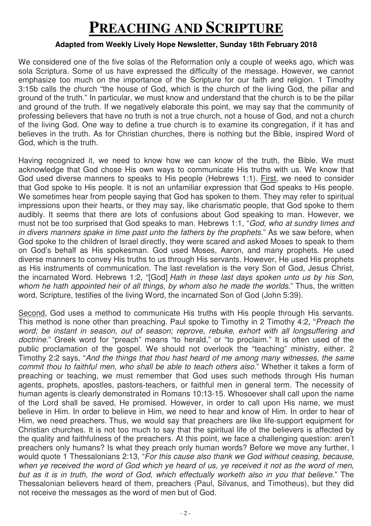## **PREACHING AND SCRIPTURE**

### **Adapted from Weekly Lively Hope Newsletter, Sunday 18th February 2018**

We considered one of the five solas of the Reformation only a couple of weeks ago, which was sola Scriptura. Some of us have expressed the difficulty of the message. However, we cannot emphasize too much on the importance of the Scripture for our faith and religion. 1 Timothy 3:15b calls the church "the house of God, which is the church of the living God, the pillar and ground of the truth." In particular, we must know and understand that the church is to be the pillar and ground of the truth. If we negatively elaborate this point, we may say that the community of professing believers that have no truth is not a true church, not a house of God, and not a church of the living God. One way to define a true church is to examine its congregation, if it has and believes in the truth. As for Christian churches, there is nothing but the Bible, inspired Word of God, which is the truth.

Having recognized it, we need to know how we can know of the truth, the Bible. We must acknowledge that God chose His own ways to communicate His truths with us. We know that God used diverse manners to speaks to His people (Hebrews 1:1). First, we need to consider that God spoke to His people. It is not an unfamiliar expression that God speaks to His people. We sometimes hear from people saying that God has spoken to them. They may refer to spiritual impressions upon their hearts, or they may say, like charismatic people, that God spoke to them audibly. It seems that there are lots of confusions about God speaking to man. However, we must not be too surprised that God speaks to man. Hebrews 1:1, "God, who at sundry times and in divers manners spake in time past unto the fathers by the prophets." As we saw before, when God spoke to the children of Israel directly, they were scared and asked Moses to speak to them on God's behalf as His spokesman. God used Moses, Aaron, and many prophets. He used diverse manners to convey His truths to us through His servants. However, He used His prophets as His instruments of communication. The last revelation is the very Son of God, Jesus Christ, the incarnated Word. Hebrews 1:2, "[God] Hath in these last days spoken unto us by his Son, whom he hath appointed heir of all things, by whom also he made the worlds." Thus, the written word, Scripture, testifies of the living Word, the incarnated Son of God (John 5:39).

Second, God uses a method to communicate His truths with His people through His servants. This method is none other than preaching. Paul spoke to Timothy in 2 Timothy 4:2, "Preach the word; be instant in season, out of season; reprove, rebuke, exhort with all longsuffering and doctrine." Greek word for "preach" means "to herald," or "to proclaim." It is often used of the public proclamation of the gospel. We should not overlook the "teaching" ministry, either. 2 Timothy 2:2 says, "And the things that thou hast heard of me among many witnesses, the same commit thou to faithful men, who shall be able to teach others also." Whether it takes a form of preaching or teaching, we must remember that God uses such methods through His human agents, prophets, apostles, pastors-teachers, or faithful men in general term. The necessity of human agents is clearly demonstrated in Romans 10:13-15. Whosoever shall call upon the name of the Lord shall be saved, He promised. However, in order to call upon His name, we must believe in Him. In order to believe in Him, we need to hear and know of Him. In order to hear of Him, we need preachers. Thus, we would say that preachers are like life-support equipment for Christian churches. It is not too much to say that the spiritual life of the believers is affected by the quality and faithfulness of the preachers. At this point, we face a challenging question: aren't preachers only humans? Is what they preach only human words? Before we move any further, I would quote 1 Thessalonians 2:13, "For this cause also thank we God without ceasing, because, when ye received the word of God which ye heard of us, ye received it not as the word of men, but as it is in truth, the word of God, which effectually worketh also in you that believe." The Thessalonian believers heard of them, preachers (Paul, Silvanus, and Timotheus), but they did not receive the messages as the word of men but of God.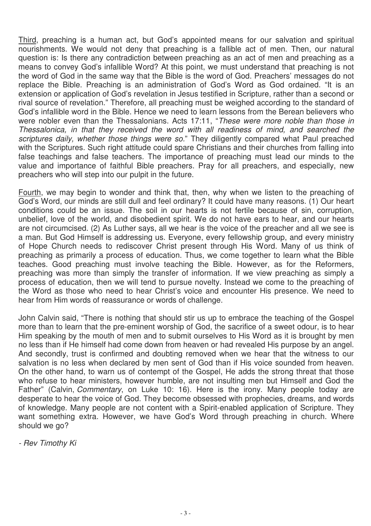Third, preaching is a human act, but God's appointed means for our salvation and spiritual nourishments. We would not deny that preaching is a fallible act of men. Then, our natural question is: Is there any contradiction between preaching as an act of men and preaching as a means to convey God's infallible Word? At this point, we must understand that preaching is not the word of God in the same way that the Bible is the word of God. Preachers' messages do not replace the Bible. Preaching is an administration of God's Word as God ordained. "It is an extension or application of God's revelation in Jesus testified in Scripture, rather than a second or rival source of revelation." Therefore, all preaching must be weighed according to the standard of God's infallible word in the Bible. Hence we need to learn lessons from the Berean believers who were nobler even than the Thessalonians. Acts 17:11, "These were more noble than those in Thessalonica, in that they received the word with all readiness of mind, and searched the scriptures daily, whether those things were so." They diligently compared what Paul preached with the Scriptures. Such right attitude could spare Christians and their churches from falling into false teachings and false teachers. The importance of preaching must lead our minds to the value and importance of faithful Bible preachers. Pray for all preachers, and especially, new preachers who will step into our pulpit in the future.

Fourth, we may begin to wonder and think that, then, why when we listen to the preaching of God's Word, our minds are still dull and feel ordinary? It could have many reasons. (1) Our heart conditions could be an issue. The soil in our hearts is not fertile because of sin, corruption, unbelief, love of the world, and disobedient spirit. We do not have ears to hear, and our hearts are not circumcised. (2) As Luther says, all we hear is the voice of the preacher and all we see is a man. But God Himself is addressing us. Everyone, every fellowship group, and every ministry of Hope Church needs to rediscover Christ present through His Word. Many of us think of preaching as primarily a process of education. Thus, we come together to learn what the Bible teaches. Good preaching must involve teaching the Bible. However, as for the Reformers, preaching was more than simply the transfer of information. If we view preaching as simply a process of education, then we will tend to pursue novelty. Instead we come to the preaching of the Word as those who need to hear Christ's voice and encounter His presence. We need to hear from Him words of reassurance or words of challenge.

John Calvin said, "There is nothing that should stir us up to embrace the teaching of the Gospel more than to learn that the pre-eminent worship of God, the sacrifice of a sweet odour, is to hear Him speaking by the mouth of men and to submit ourselves to His Word as it is brought by men no less than if He himself had come down from heaven or had revealed His purpose by an angel. And secondly, trust is confirmed and doubting removed when we hear that the witness to our salvation is no less when declared by men sent of God than if His voice sounded from heaven. On the other hand, to warn us of contempt of the Gospel, He adds the strong threat that those who refuse to hear ministers, however humble, are not insulting men but Himself and God the Father" (Calvin, Commentary, on Luke 10: 16). Here is the irony. Many people today are desperate to hear the voice of God. They become obsessed with prophecies, dreams, and words of knowledge. Many people are not content with a Spirit-enabled application of Scripture. They want something extra. However, we have God's Word through preaching in church. Where should we go?

- Rev Timothy Ki